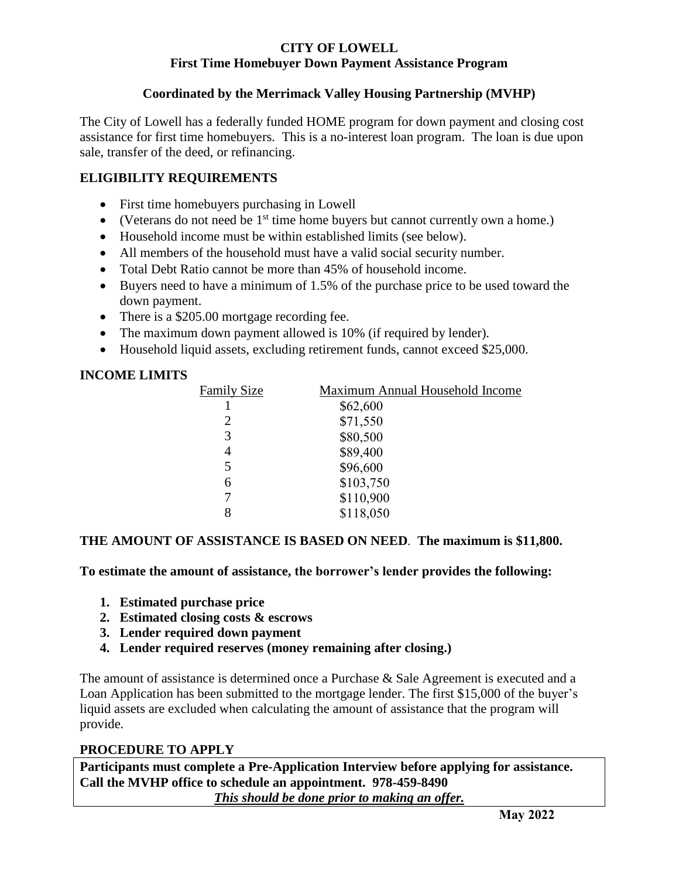## **CITY OF LOWELL First Time Homebuyer Down Payment Assistance Program**

# **Coordinated by the Merrimack Valley Housing Partnership (MVHP)**

The City of Lowell has a federally funded HOME program for down payment and closing cost assistance for first time homebuyers. This is a no-interest loan program. The loan is due upon sale, transfer of the deed, or refinancing.

# **ELIGIBILITY REQUIREMENTS**

- First time homebuyers purchasing in Lowell
- (Veterans do not need be  $1<sup>st</sup>$  time home buyers but cannot currently own a home.)
- Household income must be within established limits (see below).
- All members of the household must have a valid social security number.
- Total Debt Ratio cannot be more than 45% of household income.
- Buyers need to have a minimum of 1.5% of the purchase price to be used toward the down payment.
- There is a \$205.00 mortgage recording fee.
- The maximum down payment allowed is 10% (if required by lender).
- Household liquid assets, excluding retirement funds, cannot exceed \$25,000.

## **INCOME LIMITS**

| <b>Family Size</b> | Maximum Annual Household Income |
|--------------------|---------------------------------|
|                    | \$62,600                        |
| 2                  | \$71,550                        |
| 3                  | \$80,500                        |
| 4                  | \$89,400                        |
| 5                  | \$96,600                        |
| 6                  | \$103,750                       |
|                    | \$110,900                       |
| 8                  | \$118,050                       |

## **THE AMOUNT OF ASSISTANCE IS BASED ON NEED**. **The maximum is \$11,800.**

**To estimate the amount of assistance, the borrower's lender provides the following:**

- **1. Estimated purchase price**
- **2. Estimated closing costs & escrows**
- **3. Lender required down payment**
- **4. Lender required reserves (money remaining after closing.)**

The amount of assistance is determined once a Purchase & Sale Agreement is executed and a Loan Application has been submitted to the mortgage lender. The first \$15,000 of the buyer's liquid assets are excluded when calculating the amount of assistance that the program will provide.

## **PROCEDURE TO APPLY**

**Participants must complete a Pre-Application Interview before applying for assistance. Call the MVHP office to schedule an appointment. 978-459-8490** *This should be done prior to making an offer.*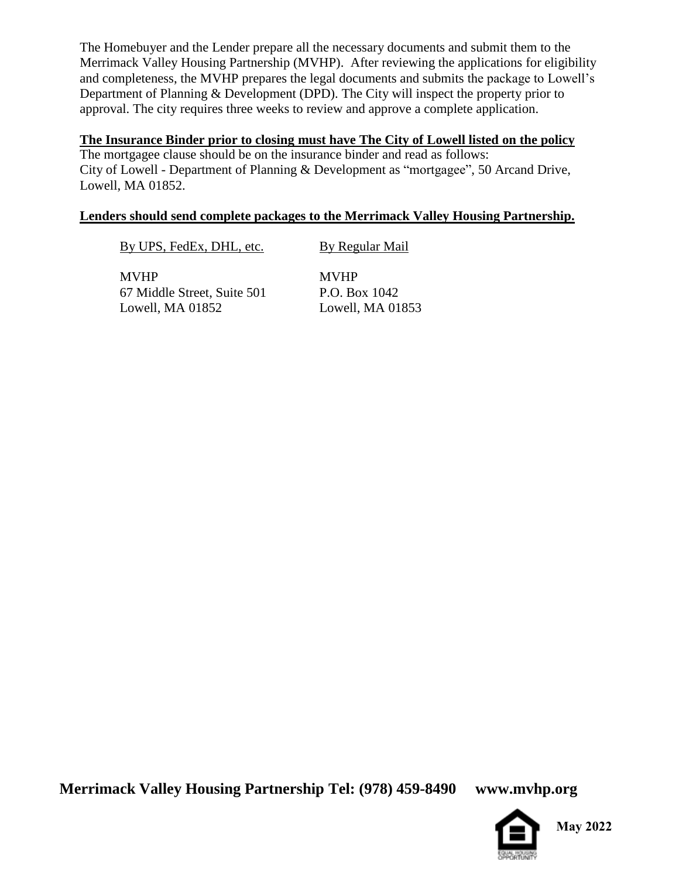The Homebuyer and the Lender prepare all the necessary documents and submit them to the Merrimack Valley Housing Partnership (MVHP). After reviewing the applications for eligibility and completeness, the MVHP prepares the legal documents and submits the package to Lowell's Department of Planning & Development (DPD). The City will inspect the property prior to approval. The city requires three weeks to review and approve a complete application.

#### **The Insurance Binder prior to closing must have The City of Lowell listed on the policy**

The mortgagee clause should be on the insurance binder and read as follows: City of Lowell - Department of Planning & Development as "mortgagee", 50 Arcand Drive, Lowell, MA 01852.

#### **Lenders should send complete packages to the Merrimack Valley Housing Partnership.**

By UPS, FedEx, DHL, etc. By Regular Mail

MVHP MVHP 67 Middle Street, Suite 501 P.O. Box 1042 Lowell, MA 01852 Lowell, MA 01853

**Merrimack Valley Housing Partnership Tel: (978) 459-8490 www.mvhp.org**